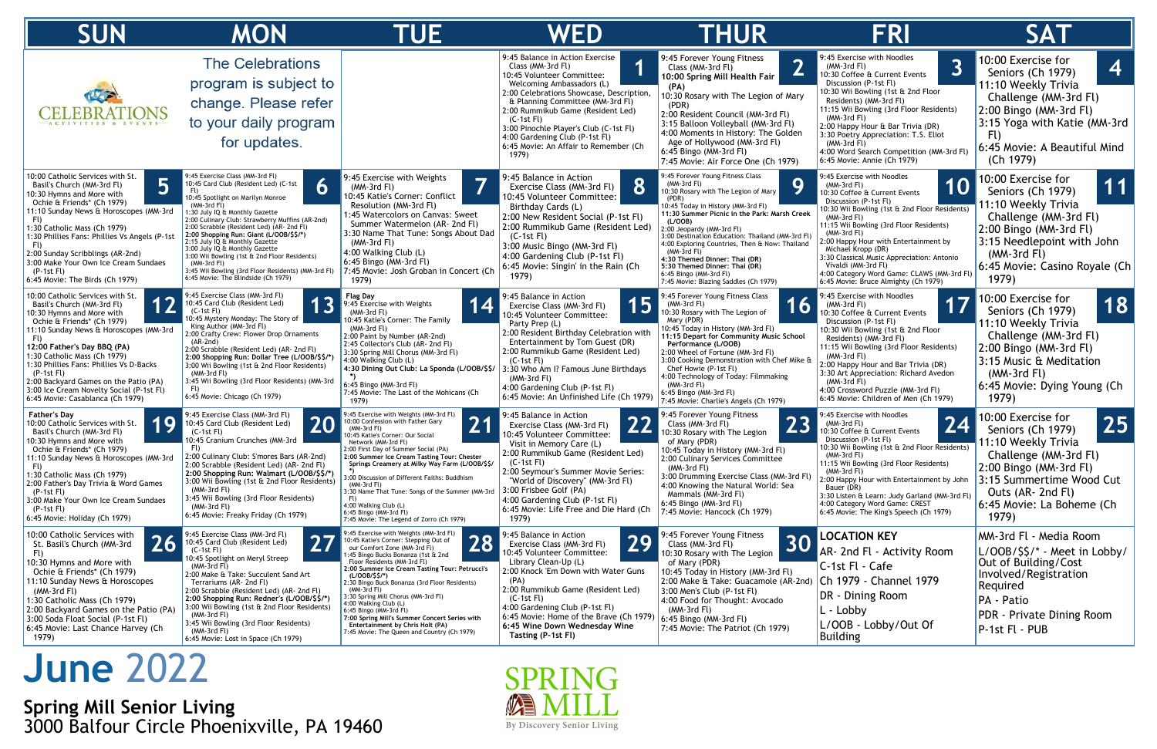## **June** 2022

**Spring Mill Senior Living** 3000 Balfour Circle Phoenixville, PA 19460



| <b>SUN</b>                                                                                                                                                                                                                                                                                                                                                                                                             | <b>MON</b>                                                                                                                                                                                                                                                                                                                                                                                                                                                                                                                                     | <b>TUE</b>                                                                                                                                                                                                                                                                                                                                                                                                                                                                                                                                                  | WED                                                                                                                                                                                                                                                                                                                                                                                  | <b>THUR</b>                                                                                                                                                                                                                                                                                                                                                                                                                                                                            | <b>FRI</b>                                                                                                                                                                                                                                                                                                                                                                                                                                                | <b>SAT</b>                                                                                                                                                                                                                            |
|------------------------------------------------------------------------------------------------------------------------------------------------------------------------------------------------------------------------------------------------------------------------------------------------------------------------------------------------------------------------------------------------------------------------|------------------------------------------------------------------------------------------------------------------------------------------------------------------------------------------------------------------------------------------------------------------------------------------------------------------------------------------------------------------------------------------------------------------------------------------------------------------------------------------------------------------------------------------------|-------------------------------------------------------------------------------------------------------------------------------------------------------------------------------------------------------------------------------------------------------------------------------------------------------------------------------------------------------------------------------------------------------------------------------------------------------------------------------------------------------------------------------------------------------------|--------------------------------------------------------------------------------------------------------------------------------------------------------------------------------------------------------------------------------------------------------------------------------------------------------------------------------------------------------------------------------------|----------------------------------------------------------------------------------------------------------------------------------------------------------------------------------------------------------------------------------------------------------------------------------------------------------------------------------------------------------------------------------------------------------------------------------------------------------------------------------------|-----------------------------------------------------------------------------------------------------------------------------------------------------------------------------------------------------------------------------------------------------------------------------------------------------------------------------------------------------------------------------------------------------------------------------------------------------------|---------------------------------------------------------------------------------------------------------------------------------------------------------------------------------------------------------------------------------------|
|                                                                                                                                                                                                                                                                                                                                                                                                                        | <b>The Celebrations</b><br>program is subject to<br>change. Please refer<br>to your daily program<br>for updates.                                                                                                                                                                                                                                                                                                                                                                                                                              |                                                                                                                                                                                                                                                                                                                                                                                                                                                                                                                                                             | 9:45 Balance in Action Exercise<br>Class (MM-3rd Fl)<br>10:45 Volunteer Committee:<br>Welcoming Ambassadors (L)<br>2:00 Celebrations Showcase, Description,<br>& Planning Committee (MM-3rd Fl)<br>2:00 Rummikub Game (Resident Led)<br>$(C-1st$ Fl)<br>3:00 Pinochle Player's Club (C-1st Fl)<br>$4:00$ Gardening Club (P-1st Fl)<br>6:45 Movie: An Affair to Remember (Ch<br>1979) | 9:45 Forever Young Fitness<br>$\mathbf{\Omega}$<br>Class (MM-3rd Fl)<br>L<br>10:00 Spring Mill Health Fair<br>(PA)<br>10:30 Rosary with The Legion of Mary<br>(PDR)<br>2:00 Resident Council (MM-3rd Fl)<br>3:15 Balloon Volleyball (MM-3rd Fl)<br>4:00 Moments in History: The Golden<br>Age of Hollywood (MM-3rd Fl)<br>6:45 Bingo (MM-3rd Fl)<br>7:45 Movie: Air Force One (Ch 1979)                                                                                                | 9:45 Exercise with Noodles<br>3<br>$(MM-3rd Fl)$<br>10:30 Coffee & Current Events<br>Discussion (P-1st Fl)<br>10:30 Wii Bowling (1st & 2nd Floor<br>Residents) (MM-3rd Fl)<br>11:15 Wii Bowling (3rd Floor Residents)<br>(MM-3rd Fl)<br>2:00 Happy Hour & Bar Trivia (DR)<br>3:30 Poetry Appreciation: T.S. Eliot<br>(MM-3rd Fl)<br>4:00 Word Search Competition (MM-3rd Fl)<br>6:45 Movie: Annie (Ch 1979)                                               | 10:00 Exercise for<br>4<br>Seniors (Ch 1979)<br>11:10 Weekly Trivia<br>Challenge (MM-3rd Fl)<br>$2:00$ Bingo (MM-3rd Fl)<br>3:15 Yoga with Katie (MM-3rd<br>FI)<br>6:45 Movie: A Beautiful Mind<br>(Ch 1979)                          |
| 10:00 Catholic Services with St.<br>Basil's Church (MM-3rd Fl)<br>10:30 Hymns and More with<br>Ochie & Friends* (Ch 1979)<br>11:10 Sunday News & Horoscopes (MM-3rd<br>1:30 Catholic Mass (Ch 1979)<br>1:30 Phillies Fans: Phillies Vs Angels (P-1st<br>2:00 Sunday Scribblings (AR-2nd)<br>3:00 Make Your Own Ice Cream Sundaes<br>$(P-1st Fl)$<br>6:45 Movie: The Birds (Ch 1979)                                    | 9:45 Exercise Class (MM-3rd Fl)<br>6<br>10:45 Card Club (Resident Led) (C-1st<br>10:45 Spotlight on Marilyn Monroe<br>(MM-3rd Fl)<br>1:30 July IQ & Monthly Gazette<br>2:00 Culinary Club: Strawberry Muffins (AR-2nd)<br>2:00 Scrabble (Resident Led) (AR- 2nd Fl)<br>2:00 Shopping Run: Giant (L/OOB/\$\$/*)<br>2:15 July IQ & Monthly Gazette<br>3:00 July IQ & Monthly Gazette<br>3:00 Wii Bowling (1st & 2nd Floor Residents)<br>(MM-3rd Fl)<br>3:45 Wii Bowling (3rd Floor Residents) (MM-3rd Fl)<br>6:45 Movie: The Blindside (Ch 1979) | 9:45 Exercise with Weights<br>(MM-3rd Fl)<br>10:45 Katie's Corner: Conflict<br>Resolution (MM-3rd Fl)<br>1:45 Watercolors on Canvas: Sweet<br>Summer Watermelon (AR- 2nd Fl)<br>3:30 Name That Tune: Songs About Dad<br>(MM-3rd Fl)<br>4:00 Walking Club (L)<br>6:45 Bingo (MM-3rd Fl)<br>7:45 Movie: Josh Groban in Concert (Ch<br>1979)                                                                                                                                                                                                                   | 9:45 Balance in Action<br>8<br>Exercise Class (MM-3rd Fl)<br>10:45 Volunteer Committee:<br>Birthday Cards (L)<br>2:00 New Resident Social (P-1st Fl)<br>2:00 Rummikub Game (Resident Led)<br>$(C-1st Fl)$<br>3:00 Music Bingo (MM-3rd Fl)<br>4:00 Gardening Club (P-1st Fl)<br>6:45 Movie: Singin' in the Rain (Ch<br>1979)                                                          | 9:45 Forever Young Fitness Class<br>9<br>(MM-3rd Fl)<br>10:30 Rosary with The Legion of Mary<br>10:45 Today in History (MM-3rd Fl)<br>11:30 Summer Picnic in the Park: Marsh Creek<br>(L/OOB)<br>2:00 Jeopardy (MM-3rd Fl)<br>3:00 Destination Education: Thailand (MM-3rd Fl)<br>4:00 Exploring Countries, Then & Now: Thailand<br>$(MM-3rd$ Fl)<br>4:30 Themed Dinner: Thai (DR)<br>5:30 Themed Dinner: Thai (DR)<br>6:45 Bingo (MM-3rd Fl)<br>7:45 Movie: Blazing Saddles (Ch 1979) | 9:45 Exercise with Noodles<br>(MM-3rd Fl)<br>10:30 Coffee & Current Events<br>Discussion (P-1st Fl)<br>10:30 Wii Bowling (1st & 2nd Floor Residents)<br>$(MM-3rd Fl)$<br>11:15 Wii Bowling (3rd Floor Residents)<br>(MM-3rd Fl)<br>2:00 Happy Hour with Entertainment by<br>Michael Kropp (DR)<br>3:30 Classical Music Appreciation: Antonio<br>Vivaldi (MM-3rd Fl)<br>4:00 Category Word Game: CLAWS (MM-3rd Fl)<br>6:45 Movie: Bruce Almighty (Ch 1979) | 10:00 Exercise for<br>$\overline{\mathbf{11}}$<br>Seniors (Ch 1979)<br>1:10 Weekly Trivia<br>Challenge (MM-3rd Fl)<br>2:00 Bingo (MM-3rd Fl)<br>3:15 Needlepoint with John<br>$(MM-3rd Fl)$<br>6:45 Movie: Casino Royale (Ch<br>1979) |
| 10:00 Catholic Services with St.<br>Basil's Church (MM-3rd Fl)<br>10:30 Hymns and More with<br>Ochie & Friends* (Ch 1979)<br>11:10 Sunday News & Horoscopes (MM-3rd<br>12:00 Father's Day BBQ (PA)<br>1:30 Catholic Mass (Ch 1979)<br>1:30 Phillies Fans: Phillies Vs D-Backs<br>$(P-1st Fl)$<br>2:00 Backyard Games on the Patio (PA)<br>3:00 Ice Cream Novelty Social (P-1st Fl)<br>6:45 Movie: Casablanca (Ch 1979) | 9:45 Exercise Class (MM-3rd Fl)<br><b>13</b><br>10:45 Card Club (Resident Led)<br>$(C-1st Fl)$<br>10:45 Mystery Monday: The Story of<br>King Author (MM-3rd Fl)<br>2:00 Crafty Crew: Flower Drop Ornaments<br>$(AR-2nd)$<br>2:00 Scrabble (Resident Led) (AR- 2nd Fl)<br>2:00 Shopping Run: Dollar Tree (L/OOB/\$\$/*)<br>3:00 Wii Bowling (1st & 2nd Floor Residents)<br>(MM-3rd Fl)<br>3:45 Wii Bowling (3rd Floor Residents) (MM-3rd<br>6:45 Movie: Chicago (Ch 1979)                                                                       | Flag Dav<br>TI.<br>9:45 Exercise with Weights<br>$(MM-3rd Fl)$<br>10:45 Katie's Corner: The Family<br>$(MM-3rd Fl)$<br>2:00 Paint by Number (AR-2nd)<br>2:45 Collector's Club (AR- 2nd Fl)<br>3:30 Spring Mill Chorus (MM-3rd Fl)<br>4:00 Walking Club (L)<br>4:30 Dining Out Club: La Sponda (L/OOB/\$\$/<br>6:45 Bingo (MM-3rd Fl)<br>7:45 Movie: The Last of the Mohicans (Ch<br>1979)                                                                                                                                                                   | 9:45 Balance in Action<br>Exercise Class (MM-3rd Fl)<br>10:45 Volunteer Committee:<br>Party Prep (L)<br>2:00 Resident Birthday Celebration with<br>Entertainment by Tom Guest (DR)<br>2:00 Rummikub Game (Resident Led)<br>$(C-1st Fl)$<br>3:30 Who Am I? Famous June Birthdays<br>(MM-3rd Fl)<br>4:00 Gardening Club (P-1st Fl)<br>6:45 Movie: An Unfinished Life (Ch 1979)         | 9:45 Forever Young Fitness Class<br>16<br>(MM-3rd Fl)<br>10:30 Rosary with The Legion of<br>Mary (PDR)<br>10:45 Today in History (MM-3rd Fl)<br>11:15 Depart for Community Music School<br>Performance (L/OOB)<br>2:00 Wheel of Fortune (MM-3rd Fl)<br>3:00 Cooking Demonstration with Chef Mike &<br>Chef Howie (P-1st Fl)<br>4:00 Technology of Today: Filmmaking<br>(MM-3rd Fl)<br>$6:45$ Bingo (MM-3rd Fl)<br>7:45 Movie: Charlie's Angels (Ch 1979)                               | 9:45 Exercise with Noodles<br>(MM-3rd Fl)<br>10:30 Coffee & Current Events<br>Discussion (P-1st Fl)<br>10:30 Wii Bowling (1st & 2nd Floor<br>Residents) (MM-3rd Fl)<br>11:15 Wii Bowling (3rd Floor Residents)<br>$(MM-3rd Fl)$<br>2:00 Happy Hour and Bar Trivia (DR)<br>3:30 Art Appreciation: Richard Avedon<br>(MM-3rd Fl)<br>4:00 Crossword Puzzle (MM-3rd Fl)<br>6:45 Movie: Children of Men (Ch 1979)                                              | 10:00 Exercise for<br>18<br>Seniors (Ch 1979)<br>11:10 Weekly Trivia<br>Challenge (MM-3rd Fl)<br>$ 2:00$ Bingo (MM-3rd Fl)<br>3:15 Music & Meditation<br>$(MM-3rd Fl)$<br>6:45 Movie: Dying Young (Ch<br>1979)                        |
| <b>Father's Day</b><br>10:00 Catholic Services with St.<br>Basil's Church (MM-3rd Fl)<br>10:30 Hymns and More with<br>Ochie & Friends* (Ch 1979)<br>11:10 Sunday News & Horoscopes (MM-3rd<br>1:30 Catholic Mass (Ch 1979)<br>2:00 Father's Day Trivia & Word Games<br>$(P-1st Fl)$<br>3:00 Make Your Own Ice Cream Sundaes<br>$(P-1st Fl)$<br>6:45 Movie: Holiday (Ch 1979)                                           | 9:45 Exercise Class (MM-3rd Fl)<br><b>20</b><br>10:45 Card Club (Resident Led)<br>$(C-1st$ Fl)<br>10:45 Cranium Crunches (MM-3rd<br>FU.<br>2:00 Culinary Club: S'mores Bars (AR-2nd)<br>2:00 Scrabble (Resident Led) (AR- 2nd Fl)<br>2:00 Shopping Run: Walmart (L/OOB/\$\$/*)<br>3:00 Wii Bowling (1st & 2nd Floor Residents)<br>$(MM-3rd Fl)$<br>3:45 Wii Bowling (3rd Floor Residents)<br>$(MM-3rd Fl)$<br>6:45 Movie: Freaky Friday (Ch 1979)                                                                                              | :45 Exercise with Weights (MM-3rd Fl)<br>$2^{\prime}$<br>10:00 Confession with Father Gary<br>(MM-3rd Fl)<br>0:45 Katie's Corner: Our Social<br>Network (MM-3rd Fl)<br>2:00 First Day of Summer Social (PA)<br>2:00 Summer Ice Cream Tasting Tour: Chester<br>Springs Creamery at Milky Way Farm (L/OOB/\$\$/<br>3:00 Discussion of Different Faiths: Buddhism<br>(MM-3rd Fl)<br>3:30 Name That Tune: Songs of the Summer (MM-3rd<br>FU.<br>4:00 Walking Club (L)<br>6:45 Bingo (MM-3rd Fl)<br>7:45 Movie: The Legend of Zorro (Ch 1979)                    | 9:45 Balance in Action<br>22<br>Exercise Class (MM-3rd Fl)<br>10:45 Volunteer Committee:<br>Visit in Memory Care (L)<br>2:00 Rummikub Game (Resident Led)<br>$(C-1st Fl)$<br>2:00 Seymour's Summer Movie Series:<br>"World of Discovery" (MM-3rd Fl)<br>3:00 Frisbee Golf (PA)<br>4:00 Gardening Club (P-1st Fl)<br>6:45 Movie: Life Free and Die Hard (Ch<br>1979)                  | 9:45 Forever Young Fitness<br>23<br>Class (MM-3rd Fl)<br>10:30 Rosary with The Legion<br>of Mary (PDR)<br>10:45 Today in History (MM-3rd Fl)<br>2:00 Culinary Services Committee<br>(MM-3rd Fl)<br>3:00 Drumming Exercise Class (MM-3rd Fl)<br>4:00 Knowing the Natural World: Sea<br>Mammals (MM-3rd Fl)<br>6:45 Bingo (MM-3rd Fl)<br>7:45 Movie: Hancock (Ch 1979)                                                                                                                   | 9:45 Exercise with Noodles<br>24<br>$(MM-3rd Fl)$<br>10:30 Coffee & Current Events<br>Discussion (P-1st Fl)<br>10:30 Wii Bowling (1st & 2nd Floor Residents)<br>(MM-3rd Fl)<br>11:15 Wii Bowling (3rd Floor Residents)<br>(MM-3rd Fl)<br>2:00 Happy Hour with Entertainment by John<br>Bauer (DR)<br>3:30 Listen & Learn: Judy Garland (MM-3rd Fl)<br>4:00 Category Word Game: CREST<br>6:45 Movie: The King's Speech (Ch 1979)                           | 10:00 Exercise for<br>25<br>Seniors (Ch 1979)<br>11:10 Weekly Trivia<br>Challenge (MM-3rd Fl)<br>$(2:00 \text{ Bingo } (MM-3rd \text{ Fl})$<br>3:15 Summertime Wood Cut<br>Outs (AR- 2nd Fl)<br>6:45 Movie: La Boheme (Ch<br>1979)    |
| 10:00 Catholic Services with<br>26<br>St. Basil's Church (MM-3rd<br>FI)<br>10:30 Hymns and More with<br>Ochie & Friends* (Ch 1979)<br>11:10 Sunday News & Horoscopes<br>$(MM-3rd Fl)$<br>1:30 Catholic Mass (Ch 1979)<br>2:00 Backyard Games on the Patio (PA)<br>3:00 Soda Float Social (P-1st Fl)<br>6:45 Movie: Last Chance Harvey (Ch<br>1979)                                                                     | 9:45 Exercise Class (MM-3rd Fl)<br>27<br>10:45 Card Club (Resident Led)<br>$(C-1st$ Fl<br>10:45 Spotlight on Meryl Streep<br>$(MM-3rd Fl)$<br>2:00 Make & Take: Succulent Sand Art<br>Terrariums (AR- 2nd Fl)<br>2:00 Scrabble (Resident Led) (AR- 2nd Fl)<br>2:00 Shopping Run: Redner's (L/OOB/\$\$/*)<br>3:00 Wii Bowling (1st & 2nd Floor Residents)<br>$(MM-3rd Fl)$<br>3:45 Wii Bowling (3rd Floor Residents)<br>$(MM-3rd Fl)$<br>6:45 Movie: Lost in Space (Ch 1979)                                                                    | 9:45 Exercise with Weights (MM-3rd Fl)<br>28<br>0:45 Katie's Corner: Stepping Out of<br>our Comfort Zone (MM-3rd Fl)<br>:45 Bingo Bucks Bonanza (1st & 2nd<br>Floor Residents (MM-3rd Fl)<br>2:00 Summer Ice Cream Tasting Tour: Petrucci's<br>(L/OOB/\$\$/*)<br>2:30 Bingo Buck Bonanza (3rd Floor Residents)<br>(MM-3rd Fl)<br>3:30 Spring Mill Chorus (MM-3rd Fl)<br>4:00 Walking Club (L)<br>6:45 Bingo (MM-3rd Fl)<br>7:00 Spring Mill's Summer Concert Series with<br>Entertainment by Chris Holt (PA)<br>7:45 Movie: The Queen and Country (Ch 1979) | 9:45 Balance in Action<br>29<br>Exercise Class (MM-3rd Fl)<br>10:45 Volunteer Committee:<br>Library Clean-Up (L)<br>.:00 Knock 'Em Down with Water Guns<br>(PA)<br>2:00 Rummikub Game (Resident Led)<br>$(C-1st Fl)$<br>4:00 Gardening Club (P-1st Fl)<br>6:45 Movie: Home of the Brave (Ch 1979) $6:45$ Bingo (MM-3rd Fl)<br>6:45 Wine Down Wednesday Wine<br>Tasting (P-1st Fl)    | 9:45 Forever Young Fitness<br>30<br>Class (MM-3rd Fl)<br>10:30 Rosary with The Legion<br>of Mary (PDR)<br>10:45 Today in History (MM-3rd Fl)<br>2:00 Make & Take: Guacamole (AR-2nd)<br>3:00 Men's Club (P-1st Fl)<br>4:00 Food for Thought: Avocado<br>$(MM-3rd Fl)$<br>7:45 Movie: The Patriot (Ch 1979)                                                                                                                                                                             | <b>LOCATION KEY</b><br>AR- 2nd Fl - Activity Room<br>C-1st Fl - Cafe<br>Ch 1979 - Channel 1979<br>DR - Dining Room<br>L - Lobby<br>L/OOB - Lobby/Out Of<br>Building                                                                                                                                                                                                                                                                                       | MM-3rd Fl - Media Room<br>$\lfloor$ L/OOB/\$\$/* - Meet in Lobby/<br>Out of Building/Cost<br>Involved/Registration<br>Required<br>PA - Patio<br><b>PDR</b> - Private Dining Room<br>P-1st Fl - PUB                                    |